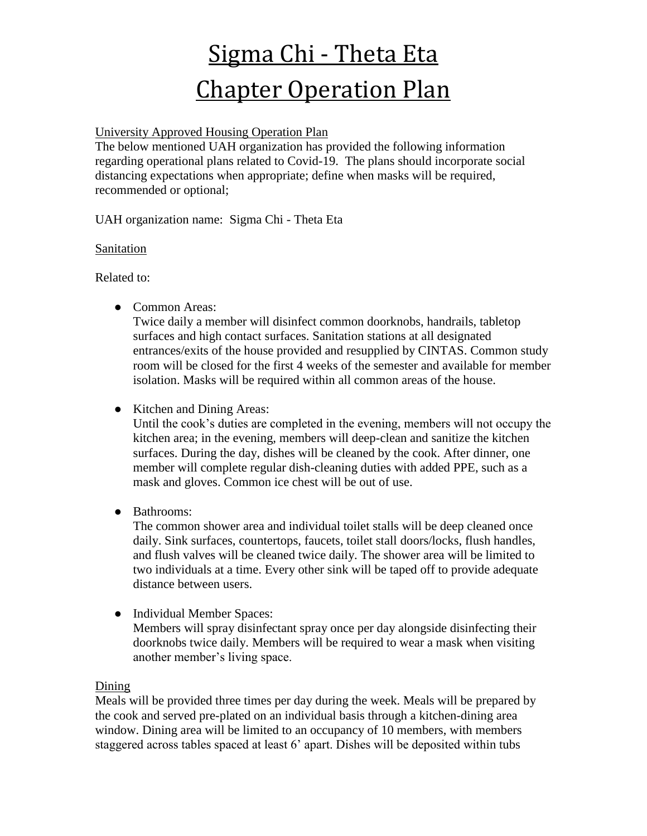# Sigma Chi - Theta Eta Chapter Operation Plan

## University Approved Housing Operation Plan

The below mentioned UAH organization has provided the following information regarding operational plans related to Covid-19. The plans should incorporate social distancing expectations when appropriate; define when masks will be required, recommended or optional;

UAH organization name: Sigma Chi - Theta Eta

#### Sanitation

Related to:

● Common Areas:

Twice daily a member will disinfect common doorknobs, handrails, tabletop surfaces and high contact surfaces. Sanitation stations at all designated entrances/exits of the house provided and resupplied by CINTAS. Common study room will be closed for the first 4 weeks of the semester and available for member isolation. Masks will be required within all common areas of the house.

• Kitchen and Dining Areas:

Until the cook's duties are completed in the evening, members will not occupy the kitchen area; in the evening, members will deep-clean and sanitize the kitchen surfaces. During the day, dishes will be cleaned by the cook. After dinner, one member will complete regular dish-cleaning duties with added PPE, such as a mask and gloves. Common ice chest will be out of use.

● Bathrooms:

The common shower area and individual toilet stalls will be deep cleaned once daily. Sink surfaces, countertops, faucets, toilet stall doors/locks, flush handles, and flush valves will be cleaned twice daily. The shower area will be limited to two individuals at a time. Every other sink will be taped off to provide adequate distance between users.

• Individual Member Spaces: Members will spray disinfectant spray once per day alongside disinfecting their doorknobs twice daily. Members will be required to wear a mask when visiting another member's living space.

## Dining

Meals will be provided three times per day during the week. Meals will be prepared by the cook and served pre-plated on an individual basis through a kitchen-dining area window. Dining area will be limited to an occupancy of 10 members, with members staggered across tables spaced at least 6' apart. Dishes will be deposited within tubs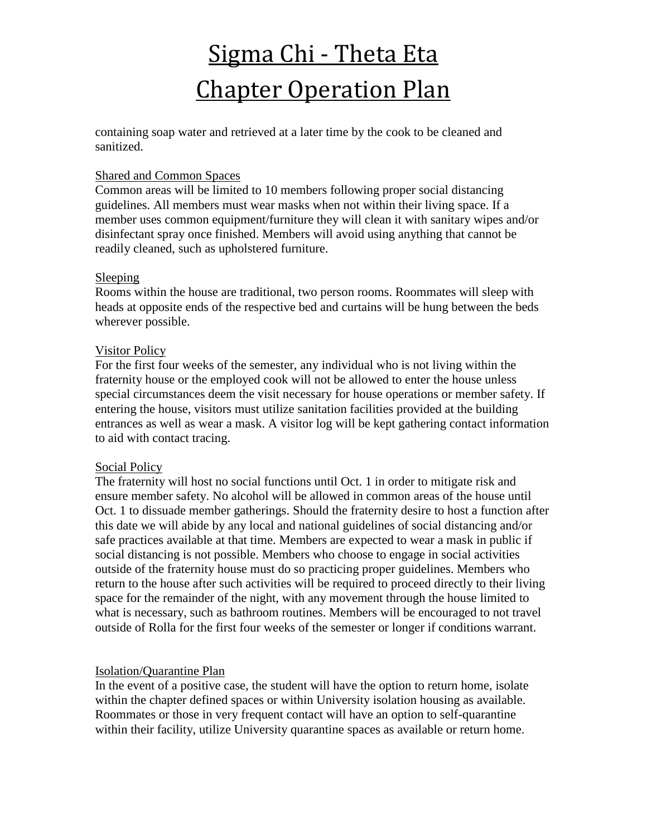# Sigma Chi - Theta Eta Chapter Operation Plan

containing soap water and retrieved at a later time by the cook to be cleaned and sanitized.

#### Shared and Common Spaces

Common areas will be limited to 10 members following proper social distancing guidelines. All members must wear masks when not within their living space. If a member uses common equipment/furniture they will clean it with sanitary wipes and/or disinfectant spray once finished. Members will avoid using anything that cannot be readily cleaned, such as upholstered furniture.

#### Sleeping

Rooms within the house are traditional, two person rooms. Roommates will sleep with heads at opposite ends of the respective bed and curtains will be hung between the beds wherever possible.

#### Visitor Policy

For the first four weeks of the semester, any individual who is not living within the fraternity house or the employed cook will not be allowed to enter the house unless special circumstances deem the visit necessary for house operations or member safety. If entering the house, visitors must utilize sanitation facilities provided at the building entrances as well as wear a mask. A visitor log will be kept gathering contact information to aid with contact tracing.

## Social Policy

The fraternity will host no social functions until Oct. 1 in order to mitigate risk and ensure member safety. No alcohol will be allowed in common areas of the house until Oct. 1 to dissuade member gatherings. Should the fraternity desire to host a function after this date we will abide by any local and national guidelines of social distancing and/or safe practices available at that time. Members are expected to wear a mask in public if social distancing is not possible. Members who choose to engage in social activities outside of the fraternity house must do so practicing proper guidelines. Members who return to the house after such activities will be required to proceed directly to their living space for the remainder of the night, with any movement through the house limited to what is necessary, such as bathroom routines. Members will be encouraged to not travel outside of Rolla for the first four weeks of the semester or longer if conditions warrant.

## Isolation/Quarantine Plan

In the event of a positive case, the student will have the option to return home, isolate within the chapter defined spaces or within University isolation housing as available. Roommates or those in very frequent contact will have an option to self-quarantine within their facility, utilize University quarantine spaces as available or return home.